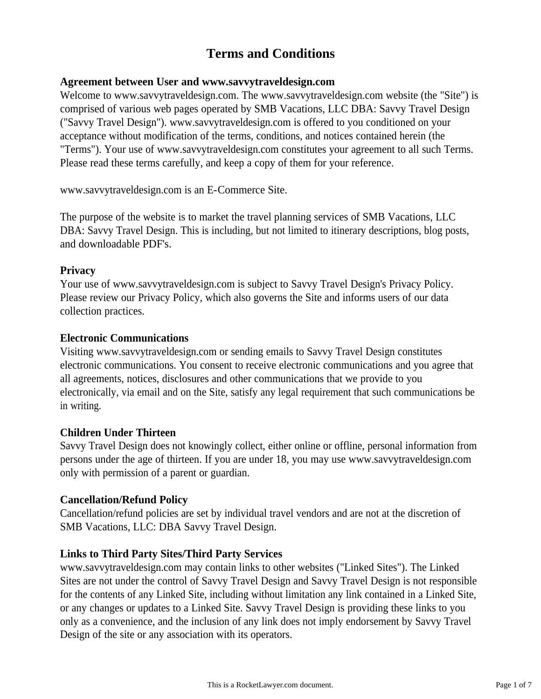# **Terms and Conditions**

## **Agreement between User and www.savvytraveldesign.com**

Welcome to www.savvytraveldesign.com. The www.savvytraveldesign.com website (the "Site") is comprised of various web pages operated by SMB Vacations, LLC DBA: Savvy Travel Design ("Savvy Travel Design"). www.savvytraveldesign.com is offered to you conditioned on your acceptance without modification of the terms, conditions, and notices contained herein (the "Terms"). Your use of www.savvytraveldesign.com constitutes your agreement to all such Terms. Please read these terms carefully, and keep a copy of them for your reference.

www.savvytraveldesign.com is an E-Commerce Site.

The purpose of the website is to market the travel planning services of SMB Vacations, LLC DBA: Savvy Travel Design. This is including, but not limited to itinerary descriptions, blog posts, and downloadable PDF's.

## **Privacy**

Your use of www.savvytraveldesign.com is subject to Savvy Travel Design's Privacy Policy. Please review our Privacy Policy, which also governs the Site and informs users of our data collection practices.

## **Electronic Communications**

Visiting www.savvytraveldesign.com or sending emails to Savvy Travel Design constitutes electronic communications. You consent to receive electronic communications and you agree that all agreements, notices, disclosures and other communications that we provide to you electronically, via email and on the Site, satisfy any legal requirement that such communications be in writing.

## **Children Under Thirteen**

Savvy Travel Design does not knowingly collect, either online or offline, personal information from persons under the age of thirteen. If you are under 18, you may use www.savvytraveldesign.com only with permission of a parent or guardian.

## **Cancellation/Refund Policy**

Cancellation/refund policies are set by individual travel vendors and are not at the discretion of SMB Vacations, LLC: DBA Savvy Travel Design.

# **Links to Third Party Sites/Third Party Services**

www.savvytraveldesign.com may contain links to other websites ("Linked Sites"). The Linked Sites are not under the control of Savvy Travel Design and Savvy Travel Design is not responsible for the contents of any Linked Site, including without limitation any link contained in a Linked Site, or any changes or updates to a Linked Site. Savvy Travel Design is providing these links to you only as a convenience, and the inclusion of any link does not imply endorsement by Savvy Travel Design of the site or any association with its operators.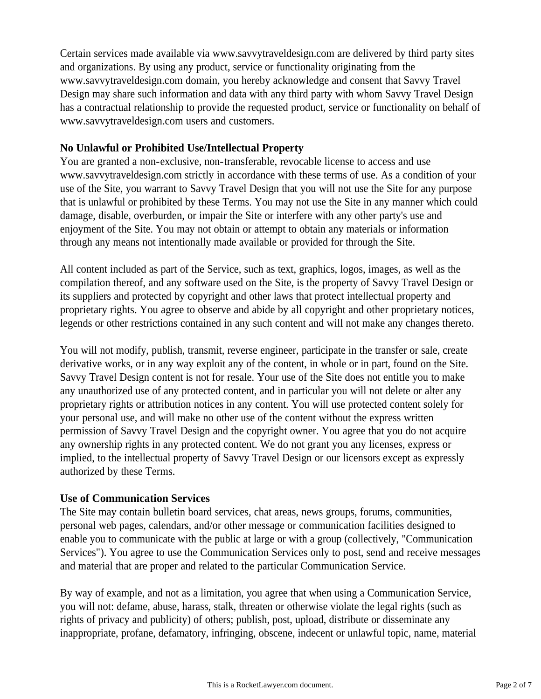Certain services made available via www.savvytraveldesign.com are delivered by third party sites and organizations. By using any product, service or functionality originating from the www.savvytraveldesign.com domain, you hereby acknowledge and consent that Savvy Travel Design may share such information and data with any third party with whom Savvy Travel Design has a contractual relationship to provide the requested product, service or functionality on behalf of www.savvytraveldesign.com users and customers.

# **No Unlawful or Prohibited Use/Intellectual Property**

You are granted a non-exclusive, non-transferable, revocable license to access and use www.savvytraveldesign.com strictly in accordance with these terms of use. As a condition of your use of the Site, you warrant to Savvy Travel Design that you will not use the Site for any purpose that is unlawful or prohibited by these Terms. You may not use the Site in any manner which could damage, disable, overburden, or impair the Site or interfere with any other party's use and enjoyment of the Site. You may not obtain or attempt to obtain any materials or information through any means not intentionally made available or provided for through the Site.

All content included as part of the Service, such as text, graphics, logos, images, as well as the compilation thereof, and any software used on the Site, is the property of Savvy Travel Design or its suppliers and protected by copyright and other laws that protect intellectual property and proprietary rights. You agree to observe and abide by all copyright and other proprietary notices, legends or other restrictions contained in any such content and will not make any changes thereto.

You will not modify, publish, transmit, reverse engineer, participate in the transfer or sale, create derivative works, or in any way exploit any of the content, in whole or in part, found on the Site. Savvy Travel Design content is not for resale. Your use of the Site does not entitle you to make any unauthorized use of any protected content, and in particular you will not delete or alter any proprietary rights or attribution notices in any content. You will use protected content solely for your personal use, and will make no other use of the content without the express written permission of Savvy Travel Design and the copyright owner. You agree that you do not acquire any ownership rights in any protected content. We do not grant you any licenses, express or implied, to the intellectual property of Savvy Travel Design or our licensors except as expressly authorized by these Terms.

# **Use of Communication Services**

The Site may contain bulletin board services, chat areas, news groups, forums, communities, personal web pages, calendars, and/or other message or communication facilities designed to enable you to communicate with the public at large or with a group (collectively, "Communication Services"). You agree to use the Communication Services only to post, send and receive messages and material that are proper and related to the particular Communication Service.

By way of example, and not as a limitation, you agree that when using a Communication Service, you will not: defame, abuse, harass, stalk, threaten or otherwise violate the legal rights (such as rights of privacy and publicity) of others; publish, post, upload, distribute or disseminate any inappropriate, profane, defamatory, infringing, obscene, indecent or unlawful topic, name, material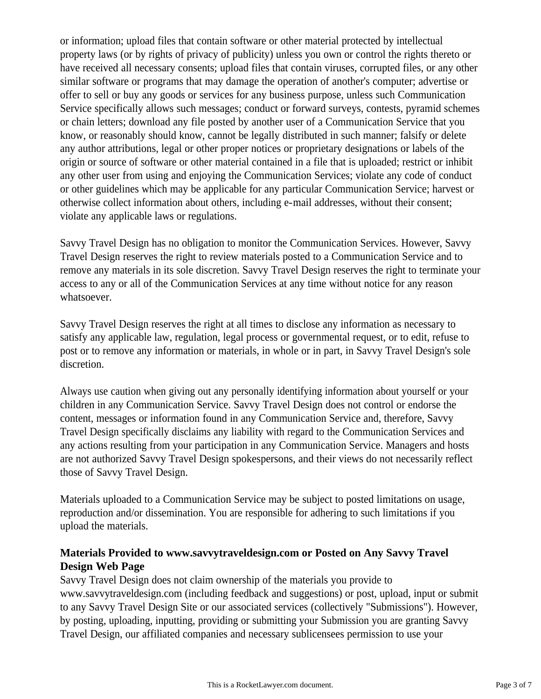or information; upload files that contain software or other material protected by intellectual property laws (or by rights of privacy of publicity) unless you own or control the rights thereto or have received all necessary consents; upload files that contain viruses, corrupted files, or any other similar software or programs that may damage the operation of another's computer; advertise or offer to sell or buy any goods or services for any business purpose, unless such Communication Service specifically allows such messages; conduct or forward surveys, contests, pyramid schemes or chain letters; download any file posted by another user of a Communication Service that you know, or reasonably should know, cannot be legally distributed in such manner; falsify or delete any author attributions, legal or other proper notices or proprietary designations or labels of the origin or source of software or other material contained in a file that is uploaded; restrict or inhibit any other user from using and enjoying the Communication Services; violate any code of conduct or other guidelines which may be applicable for any particular Communication Service; harvest or otherwise collect information about others, including e-mail addresses, without their consent; violate any applicable laws or regulations.

Savvy Travel Design has no obligation to monitor the Communication Services. However, Savvy Travel Design reserves the right to review materials posted to a Communication Service and to remove any materials in its sole discretion. Savvy Travel Design reserves the right to terminate your access to any or all of the Communication Services at any time without notice for any reason whatsoever.

Savvy Travel Design reserves the right at all times to disclose any information as necessary to satisfy any applicable law, regulation, legal process or governmental request, or to edit, refuse to post or to remove any information or materials, in whole or in part, in Savvy Travel Design's sole discretion.

Always use caution when giving out any personally identifying information about yourself or your children in any Communication Service. Savvy Travel Design does not control or endorse the content, messages or information found in any Communication Service and, therefore, Savvy Travel Design specifically disclaims any liability with regard to the Communication Services and any actions resulting from your participation in any Communication Service. Managers and hosts are not authorized Savvy Travel Design spokespersons, and their views do not necessarily reflect those of Savvy Travel Design.

Materials uploaded to a Communication Service may be subject to posted limitations on usage, reproduction and/or dissemination. You are responsible for adhering to such limitations if you upload the materials.

# **Materials Provided to www.savvytraveldesign.com or Posted on Any Savvy Travel Design Web Page**

Savvy Travel Design does not claim ownership of the materials you provide to www.savvytraveldesign.com (including feedback and suggestions) or post, upload, input or submit to any Savvy Travel Design Site or our associated services (collectively "Submissions"). However, by posting, uploading, inputting, providing or submitting your Submission you are granting Savvy Travel Design, our affiliated companies and necessary sublicensees permission to use your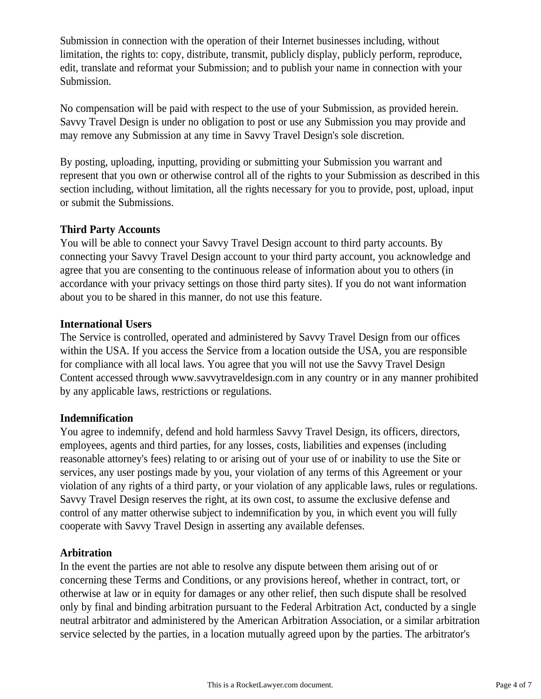Submission in connection with the operation of their Internet businesses including, without limitation, the rights to: copy, distribute, transmit, publicly display, publicly perform, reproduce, edit, translate and reformat your Submission; and to publish your name in connection with your Submission.

No compensation will be paid with respect to the use of your Submission, as provided herein. Savvy Travel Design is under no obligation to post or use any Submission you may provide and may remove any Submission at any time in Savvy Travel Design's sole discretion.

By posting, uploading, inputting, providing or submitting your Submission you warrant and represent that you own or otherwise control all of the rights to your Submission as described in this section including, without limitation, all the rights necessary for you to provide, post, upload, input or submit the Submissions.

# **Third Party Accounts**

You will be able to connect your Savvy Travel Design account to third party accounts. By connecting your Savvy Travel Design account to your third party account, you acknowledge and agree that you are consenting to the continuous release of information about you to others (in accordance with your privacy settings on those third party sites). If you do not want information about you to be shared in this manner, do not use this feature.

## **International Users**

The Service is controlled, operated and administered by Savvy Travel Design from our offices within the USA. If you access the Service from a location outside the USA, you are responsible for compliance with all local laws. You agree that you will not use the Savvy Travel Design Content accessed through www.savvytraveldesign.com in any country or in any manner prohibited by any applicable laws, restrictions or regulations.

## **Indemnification**

You agree to indemnify, defend and hold harmless Savvy Travel Design, its officers, directors, employees, agents and third parties, for any losses, costs, liabilities and expenses (including reasonable attorney's fees) relating to or arising out of your use of or inability to use the Site or services, any user postings made by you, your violation of any terms of this Agreement or your violation of any rights of a third party, or your violation of any applicable laws, rules or regulations. Savvy Travel Design reserves the right, at its own cost, to assume the exclusive defense and control of any matter otherwise subject to indemnification by you, in which event you will fully cooperate with Savvy Travel Design in asserting any available defenses.

# **Arbitration**

In the event the parties are not able to resolve any dispute between them arising out of or concerning these Terms and Conditions, or any provisions hereof, whether in contract, tort, or otherwise at law or in equity for damages or any other relief, then such dispute shall be resolved only by final and binding arbitration pursuant to the Federal Arbitration Act, conducted by a single neutral arbitrator and administered by the American Arbitration Association, or a similar arbitration service selected by the parties, in a location mutually agreed upon by the parties. The arbitrator's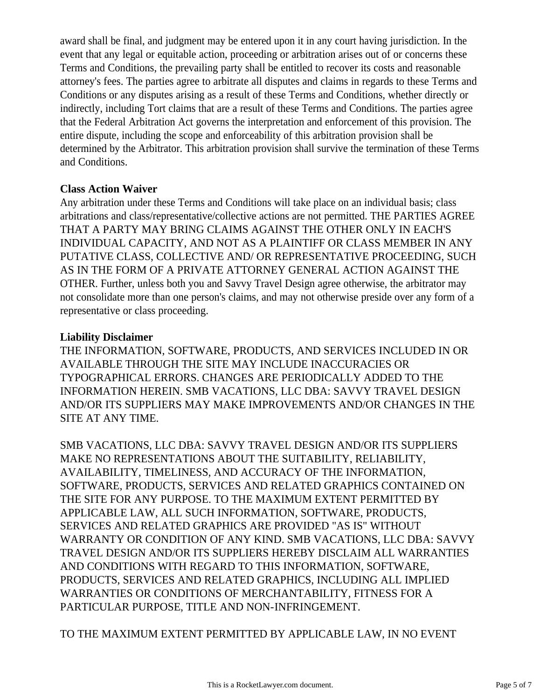award shall be final, and judgment may be entered upon it in any court having jurisdiction. In the event that any legal or equitable action, proceeding or arbitration arises out of or concerns these Terms and Conditions, the prevailing party shall be entitled to recover its costs and reasonable attorney's fees. The parties agree to arbitrate all disputes and claims in regards to these Terms and Conditions or any disputes arising as a result of these Terms and Conditions, whether directly or indirectly, including Tort claims that are a result of these Terms and Conditions. The parties agree that the Federal Arbitration Act governs the interpretation and enforcement of this provision. The entire dispute, including the scope and enforceability of this arbitration provision shall be determined by the Arbitrator. This arbitration provision shall survive the termination of these Terms and Conditions.

# **Class Action Waiver**

Any arbitration under these Terms and Conditions will take place on an individual basis; class arbitrations and class/representative/collective actions are not permitted. THE PARTIES AGREE THAT A PARTY MAY BRING CLAIMS AGAINST THE OTHER ONLY IN EACH'S INDIVIDUAL CAPACITY, AND NOT AS A PLAINTIFF OR CLASS MEMBER IN ANY PUTATIVE CLASS, COLLECTIVE AND/ OR REPRESENTATIVE PROCEEDING, SUCH AS IN THE FORM OF A PRIVATE ATTORNEY GENERAL ACTION AGAINST THE OTHER. Further, unless both you and Savvy Travel Design agree otherwise, the arbitrator may not consolidate more than one person's claims, and may not otherwise preside over any form of a representative or class proceeding.

# **Liability Disclaimer**

THE INFORMATION, SOFTWARE, PRODUCTS, AND SERVICES INCLUDED IN OR AVAILABLE THROUGH THE SITE MAY INCLUDE INACCURACIES OR TYPOGRAPHICAL ERRORS. CHANGES ARE PERIODICALLY ADDED TO THE INFORMATION HEREIN. SMB VACATIONS, LLC DBA: SAVVY TRAVEL DESIGN AND/OR ITS SUPPLIERS MAY MAKE IMPROVEMENTS AND/OR CHANGES IN THE SITE AT ANY TIME.

SMB VACATIONS, LLC DBA: SAVVY TRAVEL DESIGN AND/OR ITS SUPPLIERS MAKE NO REPRESENTATIONS ABOUT THE SUITABILITY, RELIABILITY, AVAILABILITY, TIMELINESS, AND ACCURACY OF THE INFORMATION, SOFTWARE, PRODUCTS, SERVICES AND RELATED GRAPHICS CONTAINED ON THE SITE FOR ANY PURPOSE. TO THE MAXIMUM EXTENT PERMITTED BY APPLICABLE LAW, ALL SUCH INFORMATION, SOFTWARE, PRODUCTS, SERVICES AND RELATED GRAPHICS ARE PROVIDED "AS IS" WITHOUT WARRANTY OR CONDITION OF ANY KIND. SMB VACATIONS, LLC DBA: SAVVY TRAVEL DESIGN AND/OR ITS SUPPLIERS HEREBY DISCLAIM ALL WARRANTIES AND CONDITIONS WITH REGARD TO THIS INFORMATION, SOFTWARE, PRODUCTS, SERVICES AND RELATED GRAPHICS, INCLUDING ALL IMPLIED WARRANTIES OR CONDITIONS OF MERCHANTABILITY, FITNESS FOR A PARTICULAR PURPOSE, TITLE AND NON-INFRINGEMENT.

TO THE MAXIMUM EXTENT PERMITTED BY APPLICABLE LAW, IN NO EVENT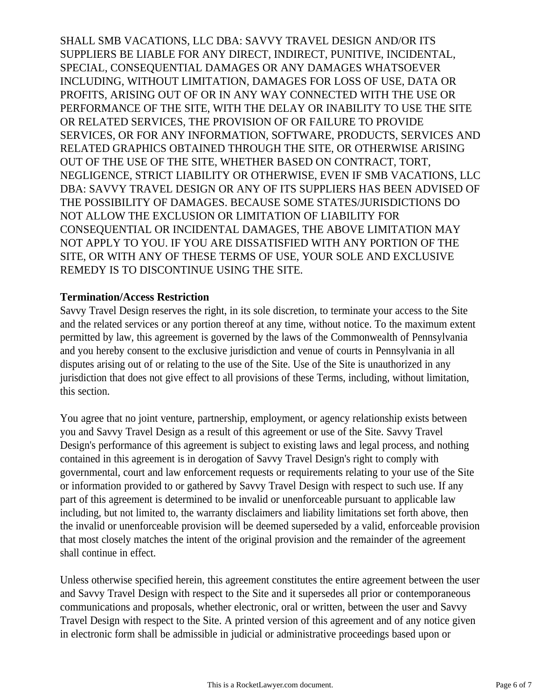SHALL SMB VACATIONS, LLC DBA: SAVVY TRAVEL DESIGN AND/OR ITS SUPPLIERS BE LIABLE FOR ANY DIRECT, INDIRECT, PUNITIVE, INCIDENTAL, SPECIAL, CONSEQUENTIAL DAMAGES OR ANY DAMAGES WHATSOEVER INCLUDING, WITHOUT LIMITATION, DAMAGES FOR LOSS OF USE, DATA OR PROFITS, ARISING OUT OF OR IN ANY WAY CONNECTED WITH THE USE OR PERFORMANCE OF THE SITE, WITH THE DELAY OR INABILITY TO USE THE SITE OR RELATED SERVICES, THE PROVISION OF OR FAILURE TO PROVIDE SERVICES, OR FOR ANY INFORMATION, SOFTWARE, PRODUCTS, SERVICES AND RELATED GRAPHICS OBTAINED THROUGH THE SITE, OR OTHERWISE ARISING OUT OF THE USE OF THE SITE, WHETHER BASED ON CONTRACT, TORT, NEGLIGENCE, STRICT LIABILITY OR OTHERWISE, EVEN IF SMB VACATIONS, LLC DBA: SAVVY TRAVEL DESIGN OR ANY OF ITS SUPPLIERS HAS BEEN ADVISED OF THE POSSIBILITY OF DAMAGES. BECAUSE SOME STATES/JURISDICTIONS DO NOT ALLOW THE EXCLUSION OR LIMITATION OF LIABILITY FOR CONSEQUENTIAL OR INCIDENTAL DAMAGES, THE ABOVE LIMITATION MAY NOT APPLY TO YOU. IF YOU ARE DISSATISFIED WITH ANY PORTION OF THE SITE, OR WITH ANY OF THESE TERMS OF USE, YOUR SOLE AND EXCLUSIVE REMEDY IS TO DISCONTINUE USING THE SITE.

#### **Termination/Access Restriction**

Savvy Travel Design reserves the right, in its sole discretion, to terminate your access to the Site and the related services or any portion thereof at any time, without notice. To the maximum extent permitted by law, this agreement is governed by the laws of the Commonwealth of Pennsylvania and you hereby consent to the exclusive jurisdiction and venue of courts in Pennsylvania in all disputes arising out of or relating to the use of the Site. Use of the Site is unauthorized in any jurisdiction that does not give effect to all provisions of these Terms, including, without limitation, this section.

You agree that no joint venture, partnership, employment, or agency relationship exists between you and Savvy Travel Design as a result of this agreement or use of the Site. Savvy Travel Design's performance of this agreement is subject to existing laws and legal process, and nothing contained in this agreement is in derogation of Savvy Travel Design's right to comply with governmental, court and law enforcement requests or requirements relating to your use of the Site or information provided to or gathered by Savvy Travel Design with respect to such use. If any part of this agreement is determined to be invalid or unenforceable pursuant to applicable law including, but not limited to, the warranty disclaimers and liability limitations set forth above, then the invalid or unenforceable provision will be deemed superseded by a valid, enforceable provision that most closely matches the intent of the original provision and the remainder of the agreement shall continue in effect.

Unless otherwise specified herein, this agreement constitutes the entire agreement between the user and Savvy Travel Design with respect to the Site and it supersedes all prior or contemporaneous communications and proposals, whether electronic, oral or written, between the user and Savvy Travel Design with respect to the Site. A printed version of this agreement and of any notice given in electronic form shall be admissible in judicial or administrative proceedings based upon or